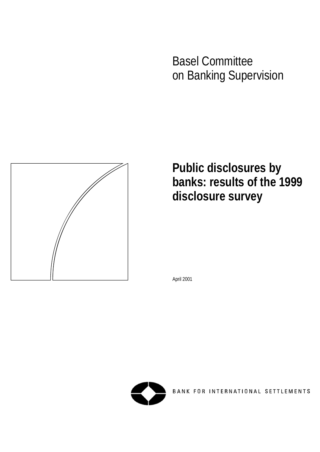Basel Committee on Banking Supervision



**Public disclosures by banks: results of the 1999 disclosure survey**

April 2001



BANK FOR INTERNATIONAL SETTLEMENTS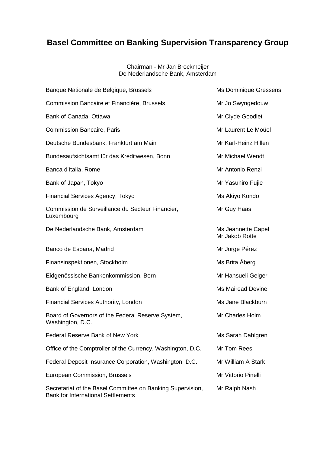# **Basel Committee on Banking Supervision Transparency Group**

#### Chairman - Mr Jan Brockmeijer De Nederlandsche Bank, Amsterdam

| Banque Nationale de Belgique, Brussels                                                                  | Ms Dominique Gressens                |
|---------------------------------------------------------------------------------------------------------|--------------------------------------|
| Commission Bancaire et Financière, Brussels                                                             | Mr Jo Swyngedouw                     |
| Bank of Canada, Ottawa                                                                                  | Mr Clyde Goodlet                     |
| <b>Commission Bancaire, Paris</b>                                                                       | Mr Laurent Le Moüel                  |
| Deutsche Bundesbank, Frankfurt am Main                                                                  | Mr Karl-Heinz Hillen                 |
| Bundesaufsichtsamt für das Kreditwesen, Bonn                                                            | Mr Michael Wendt                     |
| Banca d'Italia, Rome                                                                                    | Mr Antonio Renzi                     |
| Bank of Japan, Tokyo                                                                                    | Mr Yasuhiro Fujie                    |
| Financial Services Agency, Tokyo                                                                        | Ms Akiyo Kondo                       |
| Commission de Surveillance du Secteur Financier,<br>Luxembourg                                          | Mr Guy Haas                          |
| De Nederlandsche Bank, Amsterdam                                                                        | Ms Jeannette Capel<br>Mr Jakob Rotte |
| Banco de Espana, Madrid                                                                                 | Mr Jorge Pérez                       |
| Finansinspektionen, Stockholm                                                                           | Ms Brita Åberg                       |
| Eidgenössische Bankenkommission, Bern                                                                   | Mr Hansueli Geiger                   |
| Bank of England, London                                                                                 | <b>Ms Mairead Devine</b>             |
| Financial Services Authority, London                                                                    | Ms Jane Blackburn                    |
| Board of Governors of the Federal Reserve System,<br>Washington, D.C.                                   | Mr Charles Holm                      |
| Federal Reserve Bank of New York                                                                        | Ms Sarah Dahlgren                    |
| Office of the Comptroller of the Currency, Washington, D.C.                                             | Mr Tom Rees                          |
| Federal Deposit Insurance Corporation, Washington, D.C.                                                 | Mr William A Stark                   |
| European Commission, Brussels                                                                           | Mr Vittorio Pinelli                  |
| Secretariat of the Basel Committee on Banking Supervision,<br><b>Bank for International Settlements</b> | Mr Ralph Nash                        |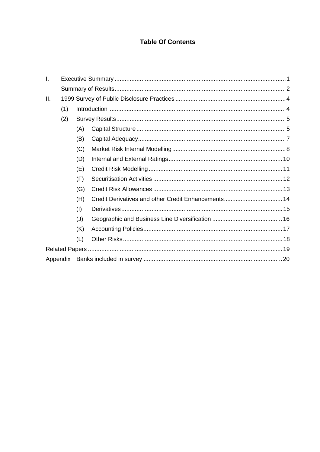## **Table Of Contents**

| Ι.  |     |     |  |
|-----|-----|-----|--|
|     |     |     |  |
| II. |     |     |  |
|     | (1) |     |  |
|     | (2) |     |  |
|     |     | (A) |  |
|     |     | (B) |  |
|     |     | (C) |  |
|     |     | (D) |  |
|     |     | (E) |  |
|     |     | (F) |  |
|     |     | (G) |  |
|     |     | (H) |  |
|     |     | (1) |  |
|     |     | (J) |  |
|     |     | (K) |  |
|     |     | (L) |  |
|     |     |     |  |
|     |     |     |  |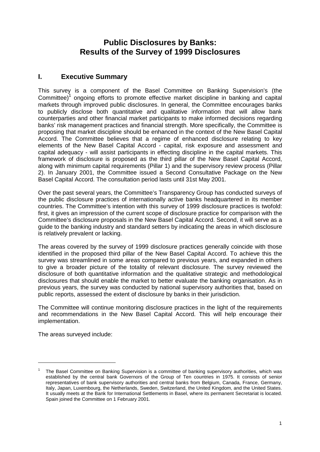## **Public Disclosures by Banks: Results of the Survey of 1999 Disclosures**

## **I. Executive Summary**

This survey is a component of the Basel Committee on Banking Supervision's (the Committee) $1$  ongoing efforts to promote effective market discipline in banking and capital markets through improved public disclosures. In general, the Committee encourages banks to publicly disclose both quantitative and qualitative information that will allow bank counterparties and other financial market participants to make informed decisions regarding banks' risk management practices and financial strength. More specifically, the Committee is proposing that market discipline should be enhanced in the context of the New Basel Capital Accord. The Committee believes that a regime of enhanced disclosure relating to key elements of the New Basel Capital Accord - capital, risk exposure and assessment and capital adequacy - will assist participants in effecting discipline in the capital markets. This framework of disclosure is proposed as the third pillar of the New Basel Capital Accord, along with minimum capital requirements (Pillar 1) and the supervisory review process (Pillar 2). In January 2001, the Committee issued a Second Consultative Package on the New Basel Capital Accord. The consultation period lasts until 31st May 2001.

Over the past several years, the Committee's Transparency Group has conducted surveys of the public disclosure practices of internationally active banks headquartered in its member countries. The Committee's intention with this survey of 1999 disclosure practices is twofold: first, it gives an impression of the current scope of disclosure practice for comparison with the Committee's disclosure proposals in the New Basel Capital Accord. Second, it will serve as a guide to the banking industry and standard setters by indicating the areas in which disclosure is relatively prevalent or lacking.

The areas covered by the survey of 1999 disclosure practices generally coincide with those identified in the proposed third pillar of the New Basel Capital Accord. To achieve this the survey was streamlined in some areas compared to previous years, and expanded in others to give a broader picture of the totality of relevant disclosure. The survey reviewed the disclosure of both quantitative information and the qualitative strategic and methodological disclosures that should enable the market to better evaluate the banking organisation. As in previous years, the survey was conducted by national supervisory authorities that, based on public reports, assessed the extent of disclosure by banks in their jurisdiction.

The Committee will continue monitoring disclosure practices in the light of the requirements and recommendations in the New Basel Capital Accord. This will help encourage their implementation.

The areas surveyed include:

<sup>1</sup> The Basel Committee on Banking Supervision is a committee of banking supervisory authorities, which was established by the central bank Governors of the Group of Ten countries in 1975. It consists of senior representatives of bank supervisory authorities and central banks from Belgium, Canada, France, Germany, Italy, Japan, Luxembourg, the Netherlands, Sweden, Switzerland, the United Kingdom, and the United States. It usually meets at the Bank for International Settlements in Basel, where its permanent Secretariat is located. Spain joined the Committee on 1 February 2001.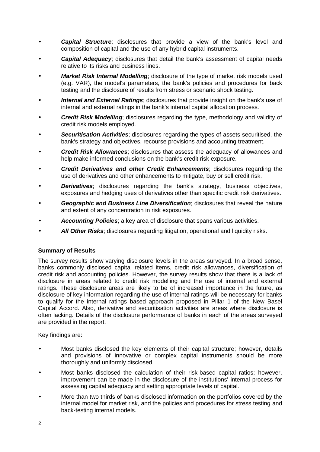- *Capital Structure*; disclosures that provide a view of the bank's level and composition of capital and the use of any hybrid capital instruments.
- **Capital Adequacy**; disclosures that detail the bank's assessment of capital needs relative to its risks and business lines.
- *Market Risk Internal Modelling*; disclosure of the type of market risk models used (e.g. VAR), the model's parameters, the bank's policies and procedures for back testing and the disclosure of results from stress or scenario shock testing.
- *Internal and External Ratings*; disclosures that provide insight on the bank's use of internal and external ratings in the bank's internal capital allocation process.
- *Credit Risk Modelling*; disclosures regarding the type, methodology and validity of credit risk models employed.
- *Securitisation Activities*; disclosures regarding the types of assets securitised, the bank's strategy and objectives, recourse provisions and accounting treatment.
- *Credit Risk Allowances*; disclosures that assess the adequacy of allowances and help make informed conclusions on the bank's credit risk exposure.
- *Credit Derivatives and other Credit Enhancements*; disclosures regarding the use of derivatives and other enhancements to mitigate, buy or sell credit risk.
- **Derivatives**; disclosures regarding the bank's strategy, business objectives, exposures and hedging uses of derivatives other than specific credit risk derivatives.
- *Geographic and Business Line Diversification*; disclosures that reveal the nature and extent of any concentration in risk exposures.
- *Accounting Policies*; a key area of disclosure that spans various activities.
- All Other Risks; disclosures regarding litigation, operational and liquidity risks.

#### **Summary of Results**

The survey results show varying disclosure levels in the areas surveyed. In a broad sense, banks commonly disclosed capital related items, credit risk allowances, diversification of credit risk and accounting policies. However, the survey results show that there is a lack of disclosure in areas related to credit risk modelling and the use of internal and external ratings. These disclosure areas are likely to be of increased importance in the future, as disclosure of key information regarding the use of internal ratings will be necessary for banks to qualify for the internal ratings based approach proposed in Pillar 1 of the New Basel Capital Accord. Also, derivative and securitisation activities are areas where disclosure is often lacking. Details of the disclosure performance of banks in each of the areas surveyed are provided in the report.

Key findings are:

- Most banks disclosed the key elements of their capital structure; however, details and provisions of innovative or complex capital instruments should be more thoroughly and uniformly disclosed.
- Most banks disclosed the calculation of their risk-based capital ratios; however, improvement can be made in the disclosure of the institutions' internal process for assessing capital adequacy and setting appropriate levels of capital.
- More than two thirds of banks disclosed information on the portfolios covered by the internal model for market risk, and the policies and procedures for stress testing and back-testing internal models.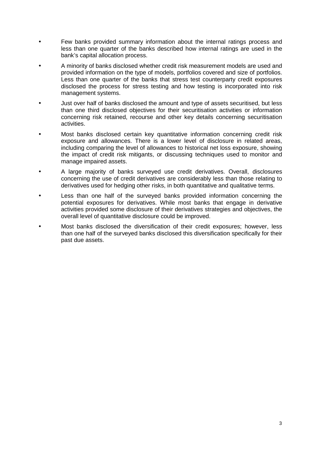- Few banks provided summary information about the internal ratings process and less than one quarter of the banks described how internal ratings are used in the bank's capital allocation process.
- A minority of banks disclosed whether credit risk measurement models are used and provided information on the type of models, portfolios covered and size of portfolios. Less than one quarter of the banks that stress test counterparty credit exposures disclosed the process for stress testing and how testing is incorporated into risk management systems.
- Just over half of banks disclosed the amount and type of assets securitised, but less than one third disclosed objectives for their securitisation activities or information concerning risk retained, recourse and other key details concerning securitisation activities.
- Most banks disclosed certain key quantitative information concerning credit risk exposure and allowances. There is a lower level of disclosure in related areas, including comparing the level of allowances to historical net loss exposure, showing the impact of credit risk mitigants, or discussing techniques used to monitor and manage impaired assets.
- A large majority of banks surveyed use credit derivatives. Overall, disclosures concerning the use of credit derivatives are considerably less than those relating to derivatives used for hedging other risks, in both quantitative and qualitative terms.
- Less than one half of the surveved banks provided information concerning the potential exposures for derivatives. While most banks that engage in derivative activities provided some disclosure of their derivatives strategies and objectives, the overall level of quantitative disclosure could be improved.
- Most banks disclosed the diversification of their credit exposures; however, less than one half of the surveyed banks disclosed this diversification specifically for their past due assets.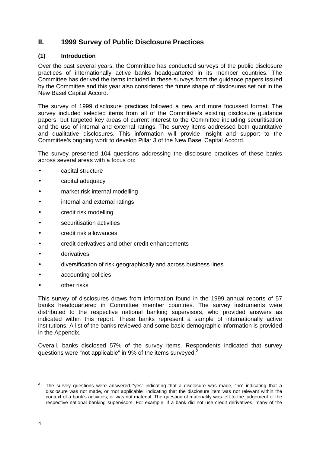## **II. 1999 Survey of Public Disclosure Practices**

#### **(1) Introduction**

Over the past several years, the Committee has conducted surveys of the public disclosure practices of internationally active banks headquartered in its member countries. The Committee has derived the items included in these surveys from the guidance papers issued by the Committee and this year also considered the future shape of disclosures set out in the New Basel Capital Accord.

The survey of 1999 disclosure practices followed a new and more focussed format. The survey included selected items from all of the Committee's existing disclosure guidance papers, but targeted key areas of current interest to the Committee including securitisation and the use of internal and external ratings. The survey items addressed both quantitative and qualitative disclosures. This information will provide insight and support to the Committee's ongoing work to develop Pillar 3 of the New Basel Capital Accord.

The survey presented 104 questions addressing the disclosure practices of these banks across several areas with a focus on:

- capital structure
- capital adequacy
- market risk internal modelling
- internal and external ratings
- credit risk modelling
- securitisation activities
- credit risk allowances
- credit derivatives and other credit enhancements
- derivatives
- diversification of risk geographically and across business lines
- accounting policies
- other risks

This survey of disclosures draws from information found in the 1999 annual reports of 57 banks headquartered in Committee member countries. The survey instruments were distributed to the respective national banking supervisors, who provided answers as indicated within this report. These banks represent a sample of internationally active institutions. A list of the banks reviewed and some basic demographic information is provided in the Appendix.

Overall, banks disclosed 57% of the survey items. Respondents indicated that survey questions were "not applicable" in 9% of the items surveyed.<sup>2</sup>

<sup>2</sup> The survey questions were answered "yes" indicating that a disclosure was made, "no" indicating that a disclosure was not made, or "not applicable" indicating that the disclosure item was not relevant within the context of a bank's activities, or was not material. The question of materiality was left to the judgement of the respective national banking supervisors. For example, if a bank did not use credit derivatives, many of the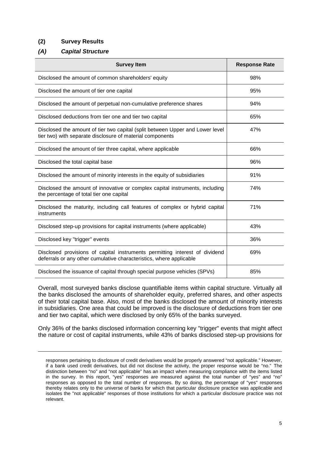#### **(2) Survey Results**

#### *(A) Capital Structure*

| <b>Survey Item</b>                                                                                                                                 | <b>Response Rate</b> |
|----------------------------------------------------------------------------------------------------------------------------------------------------|----------------------|
| Disclosed the amount of common shareholders' equity                                                                                                | 98%                  |
| Disclosed the amount of tier one capital                                                                                                           | 95%                  |
| Disclosed the amount of perpetual non-cumulative preference shares                                                                                 | 94%                  |
| Disclosed deductions from tier one and tier two capital                                                                                            | 65%                  |
| Disclosed the amount of tier two capital (split between Upper and Lower level<br>tier two) with separate disclosure of material components         | 47%                  |
| Disclosed the amount of tier three capital, where applicable                                                                                       | 66%                  |
| Disclosed the total capital base                                                                                                                   | 96%                  |
| Disclosed the amount of minority interests in the equity of subsidiaries                                                                           | 91%                  |
| Disclosed the amount of innovative or complex capital instruments, including<br>the percentage of total tier one capital                           | 74%                  |
| Disclosed the maturity, including call features of complex or hybrid capital<br>instruments                                                        | 71%                  |
| Disclosed step-up provisions for capital instruments (where applicable)                                                                            | 43%                  |
| Disclosed key "trigger" events                                                                                                                     | 36%                  |
| Disclosed provisions of capital instruments permitting interest of dividend<br>deferrals or any other cumulative characteristics, where applicable | 69%                  |
| Disclosed the issuance of capital through special purpose vehicles (SPVs)                                                                          | 85%                  |

Overall, most surveyed banks disclose quantifiable items within capital structure. Virtually all the banks disclosed the amounts of shareholder equity, preferred shares, and other aspects of their total capital base. Also, most of the banks disclosed the amount of minority interests in subsidiaries. One area that could be improved is the disclosure of deductions from tier one and tier two capital, which were disclosed by only 65% of the banks surveyed.

Only 36% of the banks disclosed information concerning key "trigger" events that might affect the nature or cost of capital instruments, while 43% of banks disclosed step-up provisions for

responses pertaining to disclosure of credit derivatives would be properly answered "not applicable." However, if a bank used credit derivatives, but did not disclose the activity, the proper response would be "no." The distinction between "no" and "not applicable" has an impact when measuring compliance with the items listed in the survey. In this report, "yes" responses are measured against the total number of "yes" and "no" responses as opposed to the total number of responses. By so doing, the percentage of "yes" responses thereby relates only to the universe of banks for which that particular disclosure practice was applicable and isolates the "not applicable" responses of those institutions for which a particular disclosure practice was not relevant.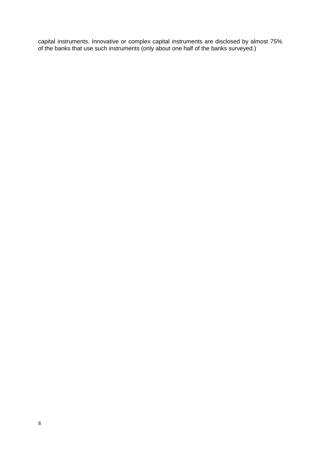capital instruments. Innovative or complex capital instruments are disclosed by almost 75% of the banks that use such instruments (only about one half of the banks surveyed.)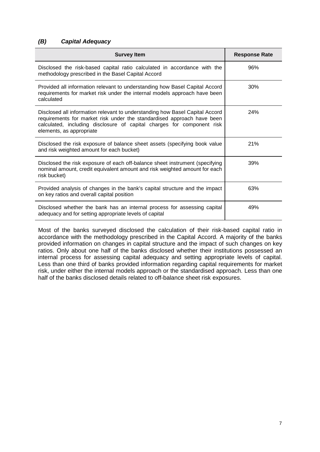#### *(B) Capital Adequacy*

| <b>Survey Item</b>                                                                                                                                                                                                                                           | <b>Response Rate</b> |
|--------------------------------------------------------------------------------------------------------------------------------------------------------------------------------------------------------------------------------------------------------------|----------------------|
| Disclosed the risk-based capital ratio calculated in accordance with the<br>methodology prescribed in the Basel Capital Accord                                                                                                                               | 96%                  |
| Provided all information relevant to understanding how Basel Capital Accord<br>requirements for market risk under the internal models approach have been<br>calculated                                                                                       | 30%                  |
| Disclosed all information relevant to understanding how Basel Capital Accord<br>requirements for market risk under the standardised approach have been<br>calculated, including disclosure of capital charges for component risk<br>elements, as appropriate | <b>24%</b>           |
| Disclosed the risk exposure of balance sheet assets (specifying book value<br>and risk weighted amount for each bucket)                                                                                                                                      | 21%                  |
| Disclosed the risk exposure of each off-balance sheet instrument (specifying<br>nominal amount, credit equivalent amount and risk weighted amount for each<br>risk bucket)                                                                                   | 39%                  |
| Provided analysis of changes in the bank's capital structure and the impact<br>on key ratios and overall capital position                                                                                                                                    | 63%                  |
| Disclosed whether the bank has an internal process for assessing capital<br>adequacy and for setting appropriate levels of capital                                                                                                                           | 49%                  |

Most of the banks surveyed disclosed the calculation of their risk-based capital ratio in accordance with the methodology prescribed in the Capital Accord. A majority of the banks provided information on changes in capital structure and the impact of such changes on key ratios. Only about one half of the banks disclosed whether their institutions possessed an internal process for assessing capital adequacy and setting appropriate levels of capital. Less than one third of banks provided information regarding capital requirements for market risk, under either the internal models approach or the standardised approach. Less than one half of the banks disclosed details related to off-balance sheet risk exposures.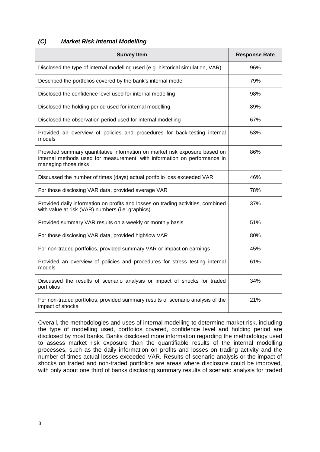#### *(C) Market Risk Internal Modelling*

| <b>Survey Item</b>                                                                                                                                                              | <b>Response Rate</b> |
|---------------------------------------------------------------------------------------------------------------------------------------------------------------------------------|----------------------|
| Disclosed the type of internal modelling used (e.g. historical simulation, VAR)                                                                                                 | 96%                  |
| Described the portfolios covered by the bank's internal model                                                                                                                   | 79%                  |
| Disclosed the confidence level used for internal modelling                                                                                                                      | 98%                  |
| Disclosed the holding period used for internal modelling                                                                                                                        | 89%                  |
| Disclosed the observation period used for internal modelling                                                                                                                    | 67%                  |
| Provided an overview of policies and procedures for back-testing internal<br>models                                                                                             | 53%                  |
| Provided summary quantitative information on market risk exposure based on<br>internal methods used for measurement, with information on performance in<br>managing those risks | 86%                  |
| Discussed the number of times (days) actual portfolio loss exceeded VAR                                                                                                         | 46%                  |
| For those disclosing VAR data, provided average VAR                                                                                                                             | 78%                  |
| Provided daily information on profits and losses on trading activities, combined<br>with value at risk (VAR) numbers (i.e. graphics)                                            | 37%                  |
| Provided summary VAR results on a weekly or monthly basis                                                                                                                       | 51%                  |
| For those disclosing VAR data, provided high/low VAR                                                                                                                            | 80%                  |
| For non-traded portfolios, provided summary VAR or impact on earnings                                                                                                           | 45%                  |
| Provided an overview of policies and procedures for stress testing internal<br>models                                                                                           | 61%                  |
| Discussed the results of scenario analysis or impact of shocks for traded<br>portfolios                                                                                         | 34%                  |
| For non-traded portfolios, provided summary results of scenario analysis of the<br>impact of shocks                                                                             | 21%                  |

Overall, the methodologies and uses of internal modelling to determine market risk, including the type of modelling used, portfolios covered, confidence level and holding period are disclosed by most banks. Banks disclosed more information regarding the methodology used to assess market risk exposure than the quantifiable results of the internal modelling processes, such as the daily information on profits and losses on trading activity and the number of times actual losses exceeded VAR. Results of scenario analysis or the impact of shocks on traded and non-traded portfolios are areas where disclosure could be improved, with only about one third of banks disclosing summary results of scenario analysis for traded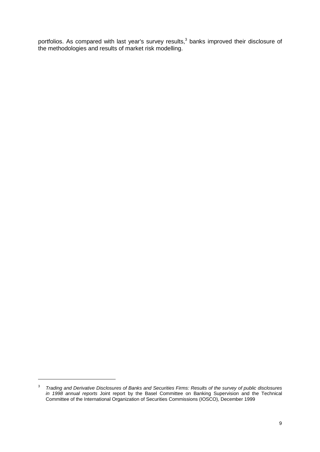portfolios. As compared with last year's survey results,<sup>3</sup> banks improved their disclosure of the methodologies and results of market risk modelling.

<sup>3</sup> *Trading and Derivative Disclosures of Banks and Securities Firms: Results of the survey of public disclosures in 1998 annual reports* Joint report by the Basel Committee on Banking Supervision and the Technical Committee of the International Organization of Securities Commissions (IOSCO), December 1999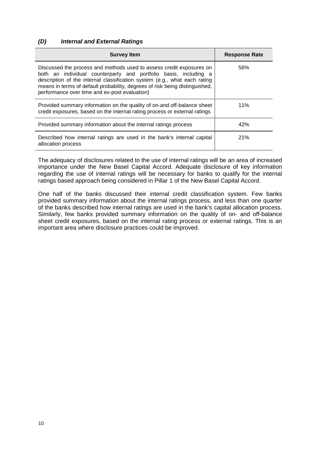#### *(D) Internal and External Ratings*

| <b>Survey Item</b>                                                                                                                                                                                                                                                                                                                                    | <b>Response Rate</b> |
|-------------------------------------------------------------------------------------------------------------------------------------------------------------------------------------------------------------------------------------------------------------------------------------------------------------------------------------------------------|----------------------|
| Discussed the process and methods used to assess credit exposures on<br>both an individual counterparty and portfolio basis, including a<br>description of the internal classification system (e.g., what each rating<br>means in terms of default probability, degrees of risk being distinguished,<br>performance over time and ex-post evaluation) | 56%                  |
| Provided summary information on the quality of on-and off-balance sheet<br>credit exposures, based on the internal rating process or external ratings                                                                                                                                                                                                 | 11%                  |
| Provided summary information about the internal ratings process                                                                                                                                                                                                                                                                                       | 42%                  |
| Described how internal ratings are used in the bank's internal capital<br>allocation process                                                                                                                                                                                                                                                          | 21%                  |

The adequacy of disclosures related to the use of internal ratings will be an area of increased importance under the New Basel Capital Accord. Adequate disclosure of key information regarding the use of internal ratings will be necessary for banks to qualify for the internal ratings based approach being considered in Pillar 1 of the New Basel Capital Accord.

One half of the banks discussed their internal credit classification system. Few banks provided summary information about the internal ratings process, and less than one quarter of the banks described how internal ratings are used in the bank's capital allocation process. Similarly, few banks provided summary information on the quality of on- and off-balance sheet credit exposures, based on the internal rating process or external ratings. This is an important area where disclosure practices could be improved.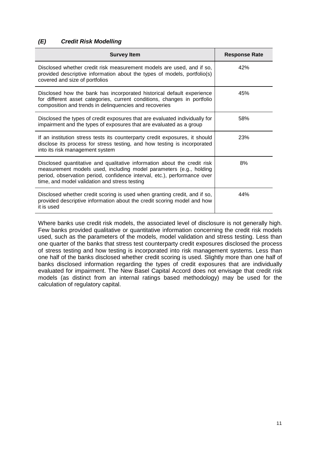#### *(E) Credit Risk Modelling*

| <b>Survey Item</b>                                                                                                                                                                                                                                                          | <b>Response Rate</b> |
|-----------------------------------------------------------------------------------------------------------------------------------------------------------------------------------------------------------------------------------------------------------------------------|----------------------|
| Disclosed whether credit risk measurement models are used, and if so,<br>provided descriptive information about the types of models, portfolio(s)<br>covered and size of portfolios                                                                                         | 42%                  |
| Disclosed how the bank has incorporated historical default experience<br>for different asset categories, current conditions, changes in portfolio<br>composition and trends in delinquencies and recoveries                                                                 | 45%                  |
| Disclosed the types of credit exposures that are evaluated individually for<br>impairment and the types of exposures that are evaluated as a group                                                                                                                          | 58%                  |
| If an institution stress tests its counterparty credit exposures, it should<br>disclose its process for stress testing, and how testing is incorporated<br>into its risk management system                                                                                  | 23%                  |
| Disclosed quantitative and qualitative information about the credit risk<br>measurement models used, including model parameters (e.g., holding<br>period, observation period, confidence interval, etc.), performance over<br>time, and model validation and stress testing | 8%                   |
| Disclosed whether credit scoring is used when granting credit, and if so,<br>provided descriptive information about the credit scoring model and how<br>it is used                                                                                                          | 44%                  |

Where banks use credit risk models, the associated level of disclosure is not generally high. Few banks provided qualitative or quantitative information concerning the credit risk models used, such as the parameters of the models, model validation and stress testing. Less than one quarter of the banks that stress test counterparty credit exposures disclosed the process of stress testing and how testing is incorporated into risk management systems. Less than one half of the banks disclosed whether credit scoring is used. Slightly more than one half of banks disclosed information regarding the types of credit exposures that are individually evaluated for impairment. The New Basel Capital Accord does not envisage that credit risk models (as distinct from an internal ratings based methodology) may be used for the calculation of regulatory capital.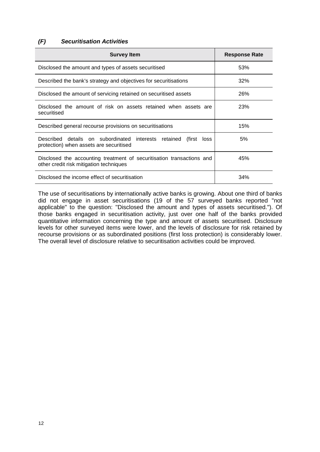### *(F) Securitisation Activities*

| <b>Survey Item</b>                                                                                                | <b>Response Rate</b> |
|-------------------------------------------------------------------------------------------------------------------|----------------------|
| Disclosed the amount and types of assets securitised                                                              | 53%                  |
| Described the bank's strategy and objectives for securitisations                                                  | 32%                  |
| Disclosed the amount of servicing retained on securitised assets                                                  | 26%                  |
| Disclosed the amount of risk on assets retained when assets are<br>securitised                                    | <b>23%</b>           |
| Described general recourse provisions on securitisations                                                          | 15%                  |
| Described details on subordinated interests retained<br>(first<br>loss<br>protection) when assets are securitised | 5%                   |
| Disclosed the accounting treatment of securitisation transactions and<br>other credit risk mitigation techniques  | 45%                  |
| Disclosed the income effect of securitisation                                                                     | 34%                  |

The use of securitisations by internationally active banks is growing. About one third of banks did not engage in asset securitisations (19 of the 57 surveyed banks reported "not applicable" to the question: "Disclosed the amount and types of assets securitised."). Of those banks engaged in securitisation activity, just over one half of the banks provided quantitative information concerning the type and amount of assets securitised. Disclosure levels for other surveyed items were lower, and the levels of disclosure for risk retained by recourse provisions or as subordinated positions (first loss protection) is considerably lower. The overall level of disclosure relative to securitisation activities could be improved.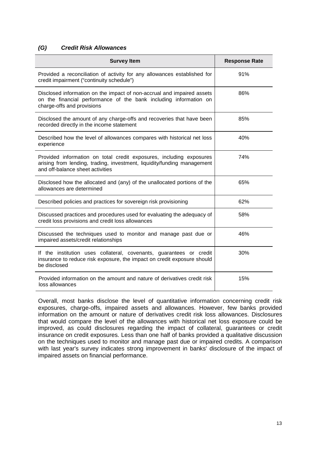#### *(G) Credit Risk Allowances*

| <b>Survey Item</b>                                                                                                                                                                 | <b>Response Rate</b> |
|------------------------------------------------------------------------------------------------------------------------------------------------------------------------------------|----------------------|
| Provided a reconciliation of activity for any allowances established for<br>credit impairment ("continuity schedule")                                                              | 91%                  |
| Disclosed information on the impact of non-accrual and impaired assets<br>on the financial performance of the bank including information on<br>charge-offs and provisions          | 86%                  |
| Disclosed the amount of any charge-offs and recoveries that have been<br>recorded directly in the income statement                                                                 | 85%                  |
| Described how the level of allowances compares with historical net loss<br>experience                                                                                              | 40%                  |
| Provided information on total credit exposures, including exposures<br>arising from lending, trading, investment, liquidity/funding management<br>and off-balance sheet activities | 74%                  |
| Disclosed how the allocated and (any) of the unallocated portions of the<br>allowances are determined                                                                              | 65%                  |
| Described policies and practices for sovereign risk provisioning                                                                                                                   | 62%                  |
| Discussed practices and procedures used for evaluating the adequacy of<br>credit loss provisions and credit loss allowances                                                        | 58%                  |
| Discussed the techniques used to monitor and manage past due or<br>impaired assets/credit relationships                                                                            | 46%                  |
| If the institution uses collateral, covenants, guarantees or credit<br>insurance to reduce risk exposure, the impact on credit exposure should<br>be disclosed                     | 30%                  |
| Provided information on the amount and nature of derivatives credit risk<br>loss allowances                                                                                        | 15%                  |

Overall, most banks disclose the level of quantitative information concerning credit risk exposures, charge-offs, impaired assets and allowances. However, few banks provided information on the amount or nature of derivatives credit risk loss allowances. Disclosures that would compare the level of the allowances with historical net loss exposure could be improved, as could disclosures regarding the impact of collateral, guarantees or credit insurance on credit exposures. Less than one half of banks provided a qualitative discussion on the techniques used to monitor and manage past due or impaired credits. A comparison with last year's survey indicates strong improvement in banks' disclosure of the impact of impaired assets on financial performance.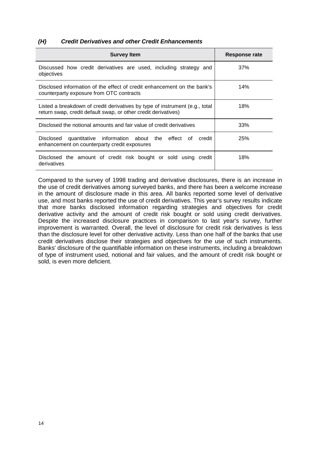#### *(H) Credit Derivatives and other Credit Enhancements*

| <b>Survey Item</b>                                                                                                                            | Response rate |
|-----------------------------------------------------------------------------------------------------------------------------------------------|---------------|
| Discussed how credit derivatives are used, including strategy and<br>objectives                                                               | 37%           |
| Disclosed information of the effect of credit enhancement on the bank's<br>counterparty exposure from OTC contracts                           | 14%           |
| Listed a breakdown of credit derivatives by type of instrument (e.g., total<br>return swap, credit default swap, or other credit derivatives) | 18%           |
| Disclosed the notional amounts and fair value of credit derivatives                                                                           | 33%           |
| quantitative information about the effect of<br>credit<br>Disclosed<br>enhancement on counterparty credit exposures                           | 25%           |
| Disclosed the amount of credit risk bought or sold using credit<br>derivatives                                                                | 18%           |

Compared to the survey of 1998 trading and derivative disclosures, there is an increase in the use of credit derivatives among surveyed banks, and there has been a welcome increase in the amount of disclosure made in this area. All banks reported some level of derivative use, and most banks reported the use of credit derivatives. This year's survey results indicate that more banks disclosed information regarding strategies and objectives for credit derivative activity and the amount of credit risk bought or sold using credit derivatives. Despite the increased disclosure practices in comparison to last year's survey, further improvement is warranted. Overall, the level of disclosure for credit risk derivatives is less than the disclosure level for other derivative activity. Less than one half of the banks that use credit derivatives disclose their strategies and objectives for the use of such instruments. Banks' disclosure of the quantifiable information on these instruments, including a breakdown of type of instrument used, notional and fair values, and the amount of credit risk bought or sold, is even more deficient.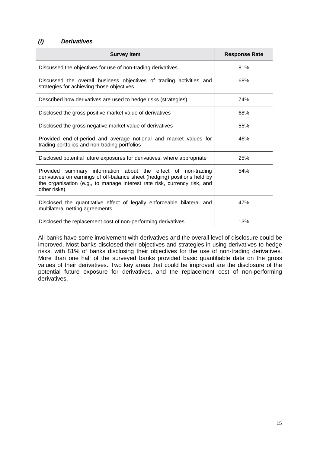#### *(I) Derivatives*

| <b>Survey Item</b>                                                                                                                                                                                                                   | <b>Response Rate</b> |
|--------------------------------------------------------------------------------------------------------------------------------------------------------------------------------------------------------------------------------------|----------------------|
| Discussed the objectives for use of non-trading derivatives                                                                                                                                                                          | 81%                  |
| Discussed the overall business objectives of trading activities and<br>strategies for achieving those objectives                                                                                                                     | 68%                  |
| Described how derivatives are used to hedge risks (strategies)                                                                                                                                                                       | 74%                  |
| Disclosed the gross positive market value of derivatives                                                                                                                                                                             | 68%                  |
| Disclosed the gross negative market value of derivatives                                                                                                                                                                             | 55%                  |
| Provided end-of-period and average notional and market values for<br>trading portfolios and non-trading portfolios                                                                                                                   | 46%                  |
| Disclosed potential future exposures for derivatives, where appropriate                                                                                                                                                              | 25%                  |
| Provided summary information about the effect of non-trading<br>derivatives on earnings of off-balance sheet (hedging) positions held by<br>the organisation (e.g., to manage interest rate risk, currency risk, and<br>other risks) | 54%                  |
| Disclosed the quantitative effect of legally enforceable bilateral and<br>multilateral netting agreements                                                                                                                            | 47%                  |
| Disclosed the replacement cost of non-performing derivatives                                                                                                                                                                         | 13%                  |

All banks have some involvement with derivatives and the overall level of disclosure could be improved. Most banks disclosed their objectives and strategies in using derivatives to hedge risks, with 81% of banks disclosing their objectives for the use of non-trading derivatives. More than one half of the surveyed banks provided basic quantifiable data on the gross values of their derivatives. Two key areas that could be improved are the disclosure of the potential future exposure for derivatives, and the replacement cost of non-performing derivatives.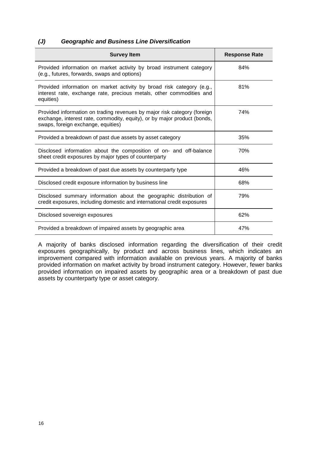#### *(J) Geographic and Business Line Diversification*

| <b>Survey Item</b>                                                                                                                                                                         | <b>Response Rate</b> |
|--------------------------------------------------------------------------------------------------------------------------------------------------------------------------------------------|----------------------|
| Provided information on market activity by broad instrument category<br>(e.g., futures, forwards, swaps and options)                                                                       | 84%                  |
| Provided information on market activity by broad risk category (e.g.,<br>interest rate, exchange rate, precious metals, other commodities and<br>equities)                                 | 81%                  |
| Provided information on trading revenues by major risk category (foreign<br>exchange, interest rate, commodity, equity), or by major product (bonds,<br>swaps, foreign exchange, equities) | 74%                  |
| Provided a breakdown of past due assets by asset category                                                                                                                                  | 35%                  |
| Disclosed information about the composition of on- and off-balance<br>sheet credit exposures by major types of counterparty                                                                | 70%                  |
| Provided a breakdown of past due assets by counterparty type                                                                                                                               | 46%                  |
| Disclosed credit exposure information by business line                                                                                                                                     | 68%                  |
| Disclosed summary information about the geographic distribution of<br>credit exposures, including domestic and international credit exposures                                              | 79%                  |
| Disclosed sovereign exposures                                                                                                                                                              | 62%                  |
| Provided a breakdown of impaired assets by geographic area                                                                                                                                 | 47%                  |

A majority of banks disclosed information regarding the diversification of their credit exposures geographically, by product and across business lines, which indicates an improvement compared with information available on previous years. A majority of banks provided information on market activity by broad instrument category. However, fewer banks provided information on impaired assets by geographic area or a breakdown of past due assets by counterparty type or asset category.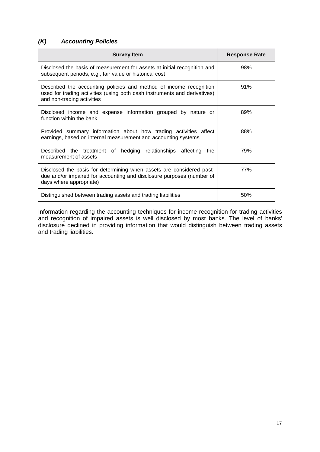## *(K) Accounting Policies*

| <b>Survey Item</b>                                                                                                                                                            | <b>Response Rate</b> |
|-------------------------------------------------------------------------------------------------------------------------------------------------------------------------------|----------------------|
| Disclosed the basis of measurement for assets at initial recognition and<br>subsequent periods, e.g., fair value or historical cost                                           | 98%                  |
| Described the accounting policies and method of income recognition<br>used for trading activities (using both cash instruments and derivatives)<br>and non-trading activities | 91%                  |
| Disclosed income and expense information grouped by nature or<br>function within the bank                                                                                     | 89%                  |
| Provided summary information about how trading activities affect<br>earnings, based on internal measurement and accounting systems                                            | 88%                  |
| Described the treatment of hedging relationships affecting the<br>measurement of assets                                                                                       | 79%                  |
| Disclosed the basis for determining when assets are considered past-<br>due and/or impaired for accounting and disclosure purposes (number of<br>days where appropriate)      | 77%                  |
| Distinguished between trading assets and trading liabilities                                                                                                                  | 50%                  |

Information regarding the accounting techniques for income recognition for trading activities and recognition of impaired assets is well disclosed by most banks. The level of banks' disclosure declined in providing information that would distinguish between trading assets and trading liabilities.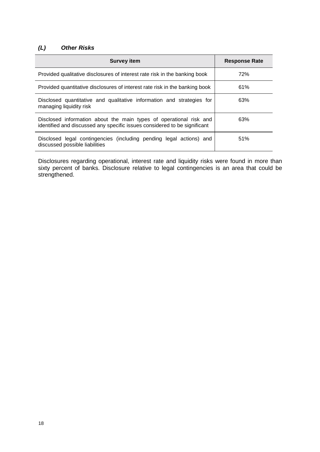## *(L) Other Risks*

| <b>Survey item</b>                                                                                                                              | <b>Response Rate</b> |
|-------------------------------------------------------------------------------------------------------------------------------------------------|----------------------|
| Provided qualitative disclosures of interest rate risk in the banking book                                                                      | 72%                  |
| Provided quantitative disclosures of interest rate risk in the banking book                                                                     | 61%                  |
| Disclosed quantitative and qualitative information and strategies for<br>managing liquidity risk                                                | 63%                  |
| Disclosed information about the main types of operational risk and<br>identified and discussed any specific issues considered to be significant | 63%                  |
| Disclosed legal contingencies (including pending legal actions) and<br>discussed possible liabilities                                           | 51%                  |

Disclosures regarding operational, interest rate and liquidity risks were found in more than sixty percent of banks. Disclosure relative to legal contingencies is an area that could be strengthened.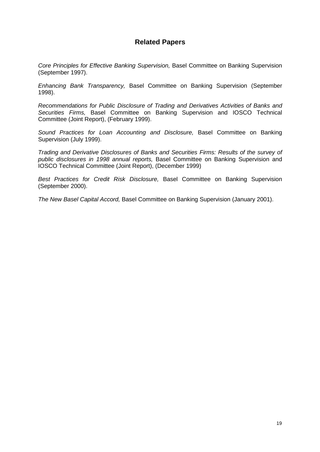## **Related Papers**

*Core Principles for Effective Banking Supervision,* Basel Committee on Banking Supervision (September 1997).

*Enhancing Bank Transparency,* Basel Committee on Banking Supervision (September 1998).

*Recommendations for Public Disclosure of Trading and Derivatives Activities of Banks and Securities Firms,* Basel Committee on Banking Supervision and IOSCO Technical Committee (Joint Report), (February 1999).

*Sound Practices for Loan Accounting and Disclosure,* Basel Committee on Banking Supervision (July 1999).

*Trading and Derivative Disclosures of Banks and Securities Firms: Results of the survey of public disclosures in 1998 annual reports,* Basel Committee on Banking Supervision and IOSCO Technical Committee (Joint Report), (December 1999)

*Best Practices for Credit Risk Disclosure,* Basel Committee on Banking Supervision (September 2000).

*The New Basel Capital Accord,* Basel Committee on Banking Supervision (January 2001).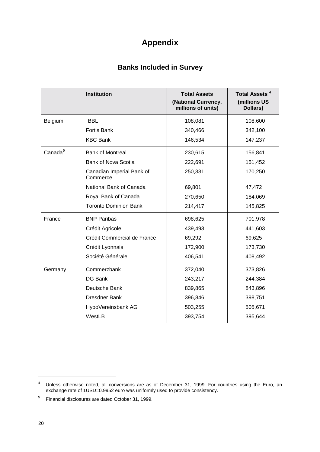# **Appendix**

## **Banks Included in Survey**

|                     | <b>Institution</b>                    | <b>Total Assets</b><br>(National Currency,<br>millions of units) | Total Assets <sup>4</sup><br>(millions US<br>Dollars) |
|---------------------|---------------------------------------|------------------------------------------------------------------|-------------------------------------------------------|
| Belgium             | <b>BBL</b>                            | 108,081                                                          | 108,600                                               |
|                     | <b>Fortis Bank</b>                    | 340,466                                                          | 342,100                                               |
|                     | <b>KBC Bank</b>                       | 146,534                                                          | 147,237                                               |
| Canada <sup>5</sup> | <b>Bank of Montreal</b>               | 230,615                                                          | 156,841                                               |
|                     | Bank of Nova Scotia                   | 222,691                                                          | 151,452                                               |
|                     | Canadian Imperial Bank of<br>Commerce | 250,331                                                          | 170,250                                               |
|                     | National Bank of Canada               | 69,801                                                           | 47,472                                                |
|                     | Royal Bank of Canada                  | 270,650                                                          | 184,069                                               |
|                     | <b>Toronto Dominion Bank</b>          | 214,417                                                          | 145,825                                               |
| France              | <b>BNP Paribas</b>                    | 698,625                                                          | 701,978                                               |
|                     | Crédit Agricole                       | 439,493                                                          | 441,603                                               |
|                     | Crédit Commercial de France           | 69,292                                                           | 69,625                                                |
|                     | Crédit Lyonnais                       | 172,900                                                          | 173,730                                               |
|                     | Société Générale                      | 406,541                                                          | 408,492                                               |
| Germany             | Commerzbank                           | 372,040                                                          | 373,826                                               |
|                     | DG Bank                               | 243,217                                                          | 244,384                                               |
|                     | Deutsche Bank                         | 839,865                                                          | 843,896                                               |
|                     | <b>Dresdner Bank</b>                  | 396,846                                                          | 398,751                                               |
|                     | HypoVereinsbank AG                    | 503,255                                                          | 505,671                                               |
|                     | WestLB                                | 393,754                                                          | 395,644                                               |

<sup>4</sup> Unless otherwise noted, all conversions are as of December 31, 1999. For countries using the Euro, an exchange rate of 1USD=0.9952 euro was uniformly used to provide consistency.

<sup>5</sup> Financial disclosures are dated October 31, 1999.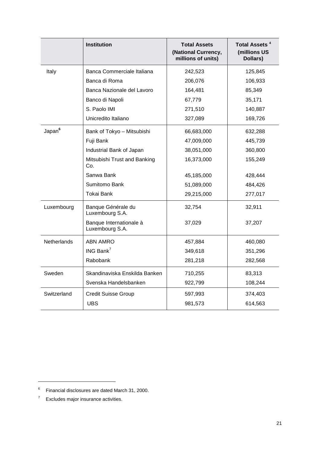|                    | <b>Institution</b>                         | <b>Total Assets</b><br>(National Currency,<br>millions of units) | Total Assets <sup>4</sup><br>(millions US<br>Dollars) |
|--------------------|--------------------------------------------|------------------------------------------------------------------|-------------------------------------------------------|
| Italy              | Banca Commerciale Italiana                 | 242,523                                                          | 125,845                                               |
|                    | Banca di Roma                              | 206,076                                                          | 106,933                                               |
|                    | Banca Nazionale del Lavoro                 | 164,481                                                          | 85,349                                                |
|                    | Banco di Napoli                            | 67,779                                                           | 35,171                                                |
|                    | S. Paolo IMI                               | 271,510                                                          | 140,887                                               |
|                    | Unicredito Italiano                        | 327,089                                                          | 169,726                                               |
| Japan <sup>6</sup> | Bank of Tokyo - Mitsubishi                 | 66,683,000                                                       | 632,288                                               |
|                    | Fuji Bank                                  | 47,009,000                                                       | 445,739                                               |
|                    | Industrial Bank of Japan                   | 38,051,000                                                       | 360,800                                               |
|                    | Mitsubishi Trust and Banking<br>Co.        | 16,373,000                                                       | 155,249                                               |
|                    | Sanwa Bank                                 | 45,185,000                                                       | 428,444                                               |
|                    | Sumitomo Bank                              | 51,089,000                                                       | 484,426                                               |
|                    | Tokai Bank                                 | 29,215,000                                                       | 277,017                                               |
| Luxembourg         | Banque Générale du<br>Luxembourg S.A.      | 32,754                                                           | 32,911                                                |
|                    | Banque Internationale à<br>Luxembourg S.A. | 37,029                                                           | 37,207                                                |
| <b>Netherlands</b> | <b>ABN AMRO</b>                            | 457,884                                                          | 460,080                                               |
|                    | ING Bank $^7$                              | 349,618                                                          | 351,296                                               |
|                    | Rabobank                                   | 281,218                                                          | 282,568                                               |
| Sweden             | Skandinaviska Enskilda Banken              | 710,255                                                          | 83,313                                                |
|                    | Svenska Handelsbanken                      | 922,799                                                          | 108,244                                               |
| Switzerland        | <b>Credit Suisse Group</b>                 | 597,993                                                          | 374,403                                               |
|                    | <b>UBS</b>                                 | 981,573                                                          | 614,563                                               |

<sup>6</sup> Financial disclosures are dated March 31, 2000.

<sup>7</sup> Excludes major insurance activities.